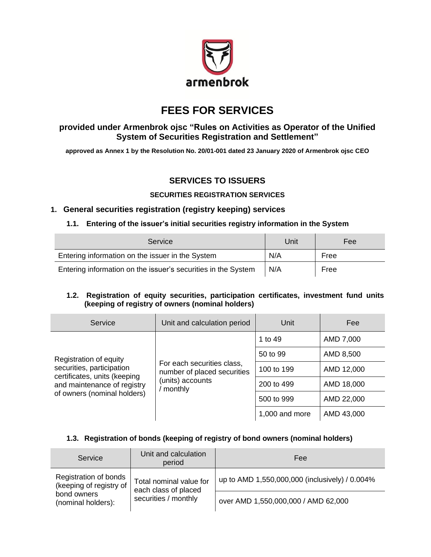

# **FEES FOR SERVICES**

# **provided under Armenbrok ojsc "Rules on Activities as Operator of the Unified System of Securities Registration and Settlement"**

**approved as Annex 1 by the Resolution No. 20/01-001 dated 23 January 2020 of Armenbrok ojsc CEO**

# **SERVICES TO ISSUERS**

### **SECURITIES REGISTRATION SERVICES**

# **1. General securities registration (registry keeping) services**

#### **1.1. Entering of the issuer's initial securities registry information in the System**

| Service                                                       | Unit | Fee  |
|---------------------------------------------------------------|------|------|
| Entering information on the issuer in the System              | N/A  | Free |
| Entering information on the issuer's securities in the System | N/A  | Free |

### **1.2. Registration of equity securities, participation certificates, investment fund units (keeping of registry of owners (nominal holders)**

| Service                                                                                                                 | Unit and calculation period                                                              | Unit           | Fee        |
|-------------------------------------------------------------------------------------------------------------------------|------------------------------------------------------------------------------------------|----------------|------------|
|                                                                                                                         |                                                                                          | 1 to 49        | AMD 7,000  |
| Registration of equity                                                                                                  |                                                                                          | 50 to 99       | AMD 8,500  |
| securities, participation<br>certificates, units (keeping<br>and maintenance of registry<br>of owners (nominal holders) | For each securities class,<br>number of placed securities<br>(units) accounts<br>monthly | 100 to 199     | AMD 12,000 |
|                                                                                                                         |                                                                                          | 200 to 499     | AMD 18,000 |
|                                                                                                                         |                                                                                          | 500 to 999     | AMD 22,000 |
|                                                                                                                         |                                                                                          | 1,000 and more | AMD 43,000 |

## **1.3. Registration of bonds (keeping of registry of bond owners (nominal holders)**

| Service                                          | Unit and calculation<br>period                  | Fee                                            |
|--------------------------------------------------|-------------------------------------------------|------------------------------------------------|
| Registration of bonds<br>(keeping of registry of | Total nominal value for<br>each class of placed | up to AMD 1,550,000,000 (inclusively) / 0.004% |
| bond owners<br>(nominal holders):                | securities / monthly                            | over AMD 1,550,000,000 / AMD 62,000            |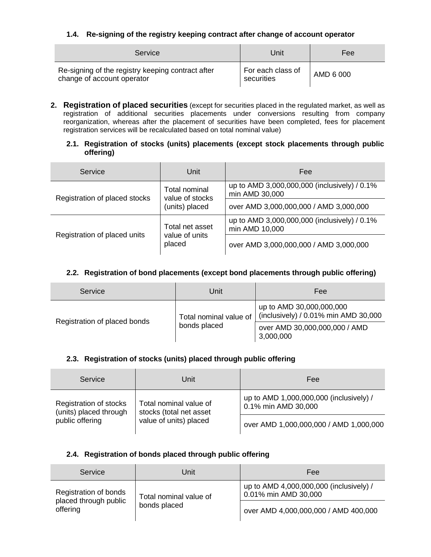## **1.4. Re-signing of the registry keeping contract after change of account operator**

| Service                                                                         | Unit                            | Fee       |
|---------------------------------------------------------------------------------|---------------------------------|-----------|
| Re-signing of the registry keeping contract after<br>change of account operator | For each class of<br>securities | AMD 6 000 |

**2. Registration of placed securities** (except for securities placed in the regulated market, as well as registration of additional securities placements under conversions resulting from company reorganization, whereas after the placement of securities have been completed, fees for placement registration services will be recalculated based on total nominal value)

#### **2.1. Registration of stocks (units) placements (except stock placements through public offering)**

| Service                       | Unit                             | Fee                                                            |  |
|-------------------------------|----------------------------------|----------------------------------------------------------------|--|
| Registration of placed stocks | Total nominal<br>value of stocks | up to AMD 3,000,000,000 (inclusively) / 0.1%<br>min AMD 30,000 |  |
|                               | (units) placed                   | over AMD 3,000,000,000 / AMD 3,000,000                         |  |
| Total net asset               |                                  | up to AMD 3,000,000,000 (inclusively) / 0.1%<br>min AMD 10,000 |  |
| Registration of placed units  | value of units<br>placed         | over AMD 3,000,000,000 / AMD 3,000,000                         |  |

### **2.2. Registration of bond placements (except bond placements through public offering)**

| Service                      | Unit                   | Fee                                                              |  |
|------------------------------|------------------------|------------------------------------------------------------------|--|
| Registration of placed bonds | Total nominal value of | up to AMD 30,000,000,000<br>(inclusively) / 0.01% min AMD 30,000 |  |
|                              | bonds placed           | over AMD 30,000,000,000 / AMD<br>3,000,000                       |  |

## **2.3. Registration of stocks (units) placed through public offering**

| Service                                          | Unit                                              | Fee                                                            |
|--------------------------------------------------|---------------------------------------------------|----------------------------------------------------------------|
| Registration of stocks<br>(units) placed through | Total nominal value of<br>stocks (total net asset | up to AMD 1,000,000,000 (inclusively) /<br>0.1% min AMD 30,000 |
| public offering                                  | value of units) placed                            | over AMD 1,000,000,000 / AMD 1,000,000                         |

#### **2.4. Registration of bonds placed through public offering**

| Service                                         | Unit                                                            | Fee                                  |
|-------------------------------------------------|-----------------------------------------------------------------|--------------------------------------|
| Registration of bonds<br>Total nominal value of | up to AMD 4,000,000,000 (inclusively) /<br>0.01% min AMD 30,000 |                                      |
| placed through public<br>offering               | bonds placed                                                    | over AMD 4,000,000,000 / AMD 400,000 |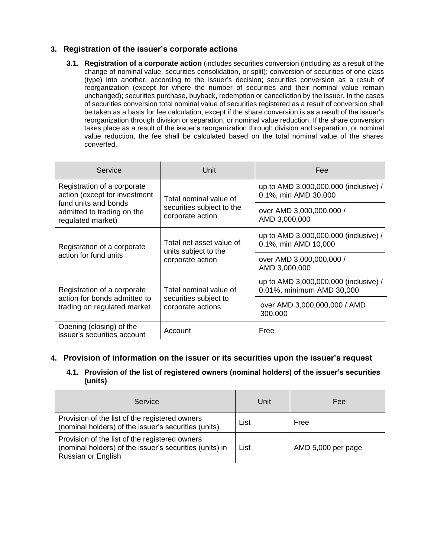# **3. Registration of the issuer's corporate actions**

**3.1. Registration of a corporate action** (includes securities conversion (including as a result of the change of nominal value, securities consolidation, or split); conversion of securities of one class (type) into another, according to the issuer's decision; securities conversion as a result of reorganization (except for where the number of securities and their nominal value remain unchanged); securities purchase, buyback, redemption or cancellation by the issuer. In the cases of securities conversion total nominal value of securities registered as a result of conversion shall be taken as a basis for fee calculation, except if the share conversion is as a result of the issuer's reorganization through division or separation, or nominal value reduction. If the share conversion takes place as a result of the issuer's reorganization through division and separation, or nominal value reduction, the fee shall be calculated based on the total nominal value of the shares converted.

| Service                                                                                                   | Unit                                          | Fee                                                                |  |
|-----------------------------------------------------------------------------------------------------------|-----------------------------------------------|--------------------------------------------------------------------|--|
| Registration of a corporate<br>action (except for investment                                              | Total nominal value of                        | up to AMD 3,000,000,000 (inclusive) /<br>0.1%, min AMD 30,000      |  |
| fund units and bonds<br>admitted to trading on the<br>regulated market)                                   | securities subject to the<br>corporate action | over AMD 3,000,000,000 /<br>AMD 3,000,000                          |  |
| Total net asset value of<br>Registration of a corporate<br>units subject to the                           |                                               | up to AMD 3,000,000,000 (inclusive) /<br>0.1%, min AMD 10,000      |  |
| action for fund units                                                                                     | corporate action                              | over AMD 3,000,000,000 /<br>AMD 3,000,000                          |  |
| Registration of a corporate                                                                               | Total nominal value of                        | up to AMD 3,000,000,000 (inclusive) /<br>0.01%, minimum AMD 30,000 |  |
| action for bonds admitted to<br>securities subject to<br>trading on regulated market<br>corporate actions |                                               | over AMD 3,000,000,000 / AMD<br>300,000                            |  |
| Opening (closing) of the<br>issuer's securities account                                                   | Account                                       | Free                                                               |  |

# **4. Provision of information on the issuer or its securities upon the issuer's request**

**4.1. Provision of the list of registered owners (nominal holders) of the issuer's securities (units)** 

| Service                                                                                                                         | Unit | Fee                |
|---------------------------------------------------------------------------------------------------------------------------------|------|--------------------|
| Provision of the list of the registered owners<br>(nominal holders) of the issuer's securities (units)                          | List | Free               |
| Provision of the list of the registered owners<br>(nominal holders) of the issuer's securities (units) in<br>Russian or English | List | AMD 5,000 per page |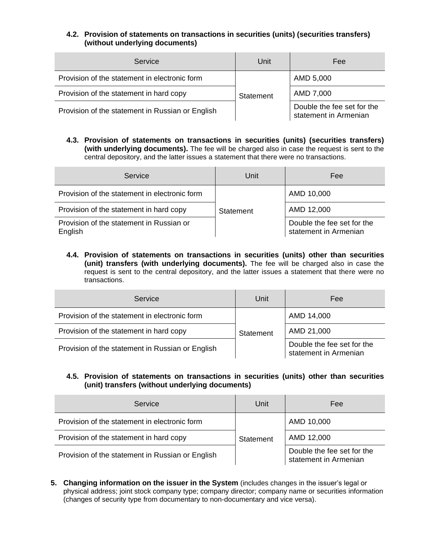#### **4.2. Provision of statements on transactions in securities (units) (securities transfers) (without underlying documents)**

| Service                                          | Unit      | Fee                                                 |
|--------------------------------------------------|-----------|-----------------------------------------------------|
| Provision of the statement in electronic form    |           | AMD 5,000                                           |
| Provision of the statement in hard copy          | Statement | AMD 7,000                                           |
| Provision of the statement in Russian or English |           | Double the fee set for the<br>statement in Armenian |

**4.3. Provision of statements on transactions in securities (units) (securities transfers) (with underlying documents).** The fee will be charged also in case the request is sent to the central depository, and the latter issues a statement that there were no transactions.

| Service                                             | Unit      | Fee                                                 |
|-----------------------------------------------------|-----------|-----------------------------------------------------|
| Provision of the statement in electronic form       |           | AMD 10,000                                          |
| Provision of the statement in hard copy             | Statement | AMD 12,000                                          |
| Provision of the statement in Russian or<br>English |           | Double the fee set for the<br>statement in Armenian |

**4.4. Provision of statements on transactions in securities (units) other than securities (unit) transfers (with underlying documents).** The fee will be charged also in case the request is sent to the central depository, and the latter issues a statement that there were no transactions.

| Service                                          | Unit      | Fee                                                 |
|--------------------------------------------------|-----------|-----------------------------------------------------|
| Provision of the statement in electronic form    |           | AMD 14,000                                          |
| Provision of the statement in hard copy          | Statement | AMD 21,000                                          |
| Provision of the statement in Russian or English |           | Double the fee set for the<br>statement in Armenian |

#### **4.5. Provision of statements on transactions in securities (units) other than securities (unit) transfers (without underlying documents)**

| Service                                          | Unit      | Fee                                                 |
|--------------------------------------------------|-----------|-----------------------------------------------------|
| Provision of the statement in electronic form    |           | AMD 10,000                                          |
| Provision of the statement in hard copy          | Statement | AMD 12,000                                          |
| Provision of the statement in Russian or English |           | Double the fee set for the<br>statement in Armenian |

**5. Changing information on the issuer in the System** (includes changes in the issuer's legal or physical address; joint stock company type; company director; company name or securities information (changes of security type from documentary to non-documentary and vice versa).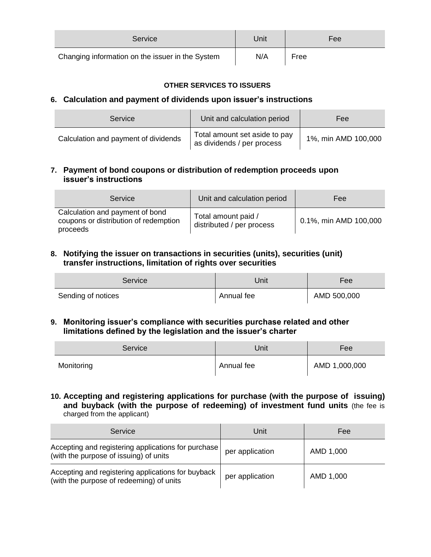| Service                                          | Jnit | Fee  |
|--------------------------------------------------|------|------|
| Changing information on the issuer in the System | N/A  | Free |

## **OTHER SERVICES TO ISSUERS**

# **6. Calculation and payment of dividends upon issuer's instructions**

| Service                              | Unit and calculation period                                 | Fee                 |
|--------------------------------------|-------------------------------------------------------------|---------------------|
| Calculation and payment of dividends | Total amount set aside to pay<br>as dividends / per process | 1%, min AMD 100,000 |

# **7. Payment of bond coupons or distribution of redemption proceeds upon issuer's instructions**

| Service                                                                              | Unit and calculation period                      | Fee                   |
|--------------------------------------------------------------------------------------|--------------------------------------------------|-----------------------|
| Calculation and payment of bond<br>coupons or distribution of redemption<br>proceeds | Total amount paid /<br>distributed / per process | 0.1%, min AMD 100,000 |

# **8. Notifying the issuer on transactions in securities (units), securities (unit) transfer instructions, limitation of rights over securities**

| Service            | Unit       | Fee         |
|--------------------|------------|-------------|
| Sending of notices | Annual fee | AMD 500,000 |

# **9. Monitoring issuer's compliance with securities purchase related and other limitations defined by the legislation and the issuer's charter**

| Service    | Unit       | Fee           |
|------------|------------|---------------|
| Monitoring | Annual fee | AMD 1,000,000 |

**10. Accepting and registering applications for purchase (with the purpose of issuing) and buyback (with the purpose of redeeming) of investment fund units** (the fee is charged from the applicant)

| Service                                                                                        | Unit            | Fee       |
|------------------------------------------------------------------------------------------------|-----------------|-----------|
| Accepting and registering applications for purchase<br>(with the purpose of issuing) of units  | per application | AMD 1,000 |
| Accepting and registering applications for buyback<br>(with the purpose of redeeming) of units | per application | AMD 1,000 |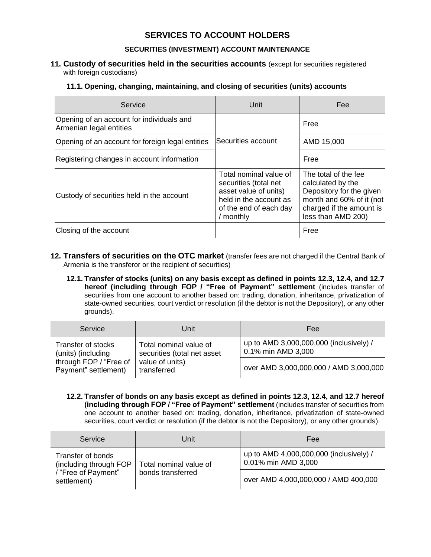# **SERVICES TO ACCOUNT HOLDERS**

#### **SECURITIES (INVESTMENT) ACCOUNT MAINTENANCE**

#### **11. Custody of securities held in the securities accounts** (except for securities registered with foreign custodians)

#### **11.1. Opening, changing, maintaining, and closing of securities (units) accounts**

| Service                                                              | Unit                                                                                                                                      | Fee                                                                                                                                                 |
|----------------------------------------------------------------------|-------------------------------------------------------------------------------------------------------------------------------------------|-----------------------------------------------------------------------------------------------------------------------------------------------------|
| Opening of an account for individuals and<br>Armenian legal entities |                                                                                                                                           | Free                                                                                                                                                |
| Opening of an account for foreign legal entities                     | Securities account                                                                                                                        | AMD 15,000                                                                                                                                          |
| Registering changes in account information                           |                                                                                                                                           | Free                                                                                                                                                |
| Custody of securities held in the account                            | Total nominal value of<br>securities (total net<br>asset value of units)<br>held in the account as<br>of the end of each day<br>/ monthly | The total of the fee<br>calculated by the<br>Depository for the given<br>month and 60% of it (not<br>charged if the amount is<br>less than AMD 200) |
| Closing of the account                                               |                                                                                                                                           | Free                                                                                                                                                |

- **12. Transfers of securities on the OTC market** (transfer fees are not charged if the Central Bank of Armenia is the transferor or the recipient of securities)
	- **12.1. Transfer of stocks (units) on any basis except as defined in points 12.3, 12.4, and 12.7 hereof (including through FOP / "Free of Payment" settlement** (includes transfer of securities from one account to another based on: trading, donation, inheritance, privatization of state-owned securities, court verdict or resolution (if the debtor is not the Depository), or any other grounds).

| Service                                        | Unit                                                  | Fee                                                           |
|------------------------------------------------|-------------------------------------------------------|---------------------------------------------------------------|
| Transfer of stocks<br>(units) (including       | Total nominal value of<br>securities (total net asset | up to AMD 3,000,000,000 (inclusively) /<br>0.1% min AMD 3,000 |
| through FOP / "Free of<br>Payment" settlement) | value of units)<br>transferred                        | over AMD 3,000,000,000 / AMD 3,000,000                        |

**12.2. Transfer of bonds on any basis except as defined in points 12.3, 12.4, and 12.7 hereof (including through FOP / "Free of Payment" settlement** (includes transfer of securities from one account to another based on: trading, donation, inheritance, privatization of state-owned securities, court verdict or resolution (if the debtor is not the Depository), or any other grounds).

| Service                                     | Unit                   | Fee                                                            |
|---------------------------------------------|------------------------|----------------------------------------------------------------|
| Transfer of bonds<br>(including through FOP | Total nominal value of | up to AMD 4,000,000,000 (inclusively) /<br>0.01% min AMD 3,000 |
| / "Free of Payment"<br>settlement)          | bonds transferred      | over AMD 4,000,000,000 / AMD 400,000                           |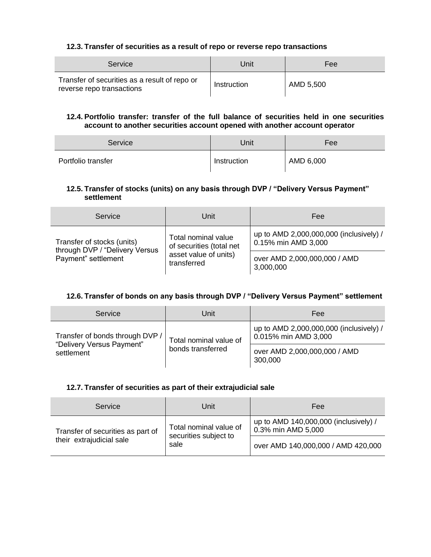#### **12.3. Transfer of securities as a result of repo or reverse repo transactions**

| Service                                                                    | Unit        | Fee       |
|----------------------------------------------------------------------------|-------------|-----------|
| Transfer of securities as a result of repo or<br>reverse repo transactions | Instruction | AMD 5,500 |

#### **12.4. Portfolio transfer: transfer of the full balance of securities held in one securities account to another securities account opened with another account operator**

| Service            | Unit        | Fee       |
|--------------------|-------------|-----------|
| Portfolio transfer | Instruction | AMD 6,000 |

## **12.5. Transfer of stocks (units) on any basis through DVP / "Delivery Versus Payment" settlement**

| Service                                                                                                         | Unit                                                           | Fee                                       |
|-----------------------------------------------------------------------------------------------------------------|----------------------------------------------------------------|-------------------------------------------|
| Total nominal value<br>Transfer of stocks (units)<br>of securities (total net<br>through DVP / "Delivery Versus | up to AMD 2,000,000,000 (inclusively) /<br>0.15% min AMD 3,000 |                                           |
| Payment" settlement                                                                                             | asset value of units)<br>transferred                           | over AMD 2,000,000,000 / AMD<br>3,000,000 |

#### **12.6. Transfer of bonds on any basis through DVP / "Delivery Versus Payment" settlement**

| Service                                 | Unit                                        | Fee                                                             |
|-----------------------------------------|---------------------------------------------|-----------------------------------------------------------------|
| Transfer of bonds through DVP /         | Total nominal value of<br>bonds transferred | up to AMD 2,000,000,000 (inclusively) /<br>0.015% min AMD 3,000 |
| "Delivery Versus Payment"<br>settlement |                                             | over AMD 2,000,000,000 / AMD<br>300,000                         |

### **12.7. Transfer of securities as part of their extrajudicial sale**

| Service                                                                                                                  | Unit | Fee                                                         |  |
|--------------------------------------------------------------------------------------------------------------------------|------|-------------------------------------------------------------|--|
| Total nominal value of<br>Transfer of securities as part of<br>securities subject to<br>their extrajudicial sale<br>sale |      | up to AMD 140,000,000 (inclusively) /<br>0.3% min AMD 5,000 |  |
|                                                                                                                          |      | over AMD 140,000,000 / AMD 420,000                          |  |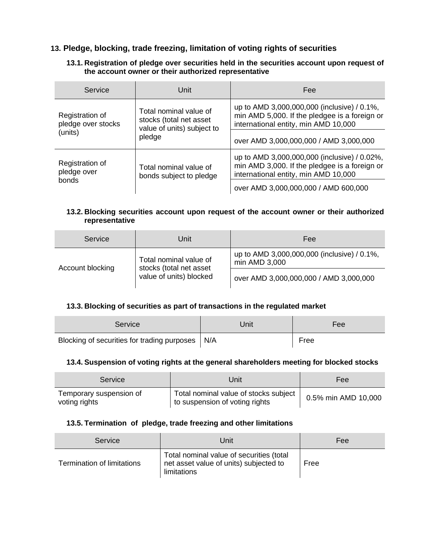# **13. Pledge, blocking, trade freezing, limitation of voting rights of securities**

## **13.1. Registration of pledge over securities held in the securities account upon request of the account owner or their authorized representative**

| Service                               | Unit                                                                            | Fee                                                                                                                                   |  |
|---------------------------------------|---------------------------------------------------------------------------------|---------------------------------------------------------------------------------------------------------------------------------------|--|
| Registration of<br>pledge over stocks | Total nominal value of<br>stocks (total net asset<br>value of units) subject to | up to AMD 3,000,000,000 (inclusive) / 0.1%,<br>min AMD 5,000. If the pledgee is a foreign or<br>international entity, min AMD 10,000  |  |
| (units)                               | pledge                                                                          | over AMD 3,000,000,000 / AMD 3,000,000                                                                                                |  |
| Registration of<br>pledge over        | Total nominal value of<br>bonds subject to pledge                               | up to AMD 3,000,000,000 (inclusive) / 0.02%,<br>min AMD 3,000. If the pledgee is a foreign or<br>international entity, min AMD 10,000 |  |
| bonds                                 |                                                                                 | over AMD 3,000,000,000 / AMD 600,000                                                                                                  |  |

#### **13.2. Blocking securities account upon request of the account owner or their authorized representative**

| Service                                                                                          | Unit                                                         | Fee |
|--------------------------------------------------------------------------------------------------|--------------------------------------------------------------|-----|
| Total nominal value of<br>stocks (total net asset<br>Account blocking<br>value of units) blocked | up to AMD 3,000,000,000 (inclusive) / 0.1%,<br>min AMD 3,000 |     |
|                                                                                                  | over AMD 3,000,000,000 / AMD 3,000,000                       |     |

# **13.3. Blocking of securities as part of transactions in the regulated market**

| Service                                           | Unit | Fee  |
|---------------------------------------------------|------|------|
| Blocking of securities for trading purposes   N/A |      | Free |

#### **13.4. Suspension of voting rights at the general shareholders meeting for blocked stocks**

| Service                                  | Unit                                                                    | Fee                 |
|------------------------------------------|-------------------------------------------------------------------------|---------------------|
| Temporary suspension of<br>voting rights | Total nominal value of stocks subject<br>to suspension of voting rights | 0.5% min AMD 10,000 |

## **13.5. Termination of pledge, trade freezing and other limitations**

| Service                    | Unit                                                                                              | Fee  |
|----------------------------|---------------------------------------------------------------------------------------------------|------|
| Termination of limitations | Total nominal value of securities (total<br>net asset value of units) subjected to<br>limitations | Free |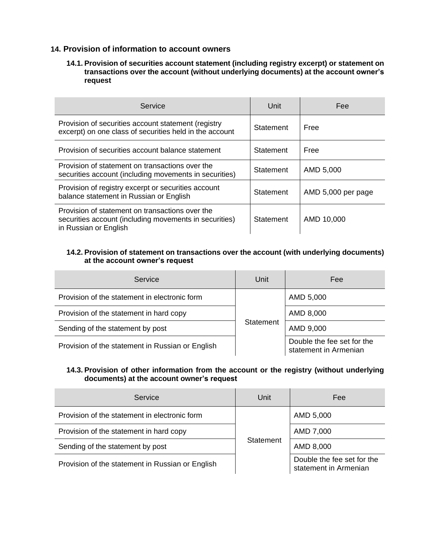## **14. Provision of information to account owners**

#### **14.1. Provision of securities account statement (including registry excerpt) or statement on transactions over the account (without underlying documents) at the account owner's request**

| Service                                                                                                                            | Unit      | Fee                |
|------------------------------------------------------------------------------------------------------------------------------------|-----------|--------------------|
| Provision of securities account statement (registry<br>excerpt) on one class of securities held in the account                     | Statement | Free               |
| Provision of securities account balance statement                                                                                  | Statement | Free               |
| Provision of statement on transactions over the<br>securities account (including movements in securities)                          | Statement | AMD 5,000          |
| Provision of registry excerpt or securities account<br>balance statement in Russian or English                                     | Statement | AMD 5,000 per page |
| Provision of statement on transactions over the<br>securities account (including movements in securities)<br>in Russian or English | Statement | AMD 10,000         |

## **14.2. Provision of statement on transactions over the account (with underlying documents) at the account owner's request**

| Service                                          | Unit             | Fee                                                 |
|--------------------------------------------------|------------------|-----------------------------------------------------|
| Provision of the statement in electronic form    |                  | AMD 5,000                                           |
| Provision of the statement in hard copy          | <b>Statement</b> | AMD 8,000                                           |
| Sending of the statement by post                 |                  | AMD 9,000                                           |
| Provision of the statement in Russian or English |                  | Double the fee set for the<br>statement in Armenian |

#### **14.3. Provision of other information from the account or the registry (without underlying documents) at the account owner's request**

| Service                                          | Unit      | Fee                                                 |
|--------------------------------------------------|-----------|-----------------------------------------------------|
| Provision of the statement in electronic form    |           | AMD 5,000                                           |
| Provision of the statement in hard copy          |           | AMD 7,000                                           |
| Sending of the statement by post                 | Statement | AMD 8,000                                           |
| Provision of the statement in Russian or English |           | Double the fee set for the<br>statement in Armenian |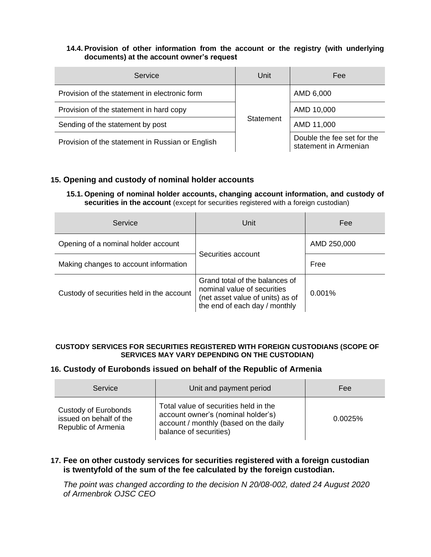## **14.4. Provision of other information from the account or the registry (with underlying documents) at the account owner's request**

| Service                                          | Unit      | Fee                                                 |
|--------------------------------------------------|-----------|-----------------------------------------------------|
| Provision of the statement in electronic form    |           | AMD 6,000                                           |
| Provision of the statement in hard copy          |           | AMD 10,000                                          |
| Sending of the statement by post                 | Statement | AMD 11,000                                          |
| Provision of the statement in Russian or English |           | Double the fee set for the<br>statement in Armenian |

# **15. Opening and custody of nominal holder accounts**

**15.1. Opening of nominal holder accounts, changing account information, and custody of securities in the account** (except for securities registered with a foreign custodian)

| Service                                   | Unit                                                                                                                               | Fee         |
|-------------------------------------------|------------------------------------------------------------------------------------------------------------------------------------|-------------|
| Opening of a nominal holder account       | Securities account                                                                                                                 | AMD 250,000 |
| Making changes to account information     |                                                                                                                                    | Free        |
| Custody of securities held in the account | Grand total of the balances of<br>nominal value of securities<br>(net asset value of units) as of<br>the end of each day / monthly | 0.001%      |

#### **CUSTODY SERVICES FOR SECURITIES REGISTERED WITH FOREIGN CUSTODIANS (SCOPE OF SERVICES MAY VARY DEPENDING ON THE CUSTODIAN)**

## **16. Custody of Eurobonds issued on behalf of the Republic of Armenia**

| Service                                                                | Unit and payment period                                                                                                                        | Fee     |
|------------------------------------------------------------------------|------------------------------------------------------------------------------------------------------------------------------------------------|---------|
| Custody of Eurobonds<br>issued on behalf of the<br>Republic of Armenia | Total value of securities held in the<br>account owner's (nominal holder's)<br>account / monthly (based on the daily<br>balance of securities) | 0.0025% |

## **17. Fee on other custody services for securities registered with a foreign custodian is twentyfold of the sum of the fee calculated by the foreign custodian.**

*The point was changed according to the decision N 20/08-002, dated 24 August 2020 of Armenbrok OJSC CEO*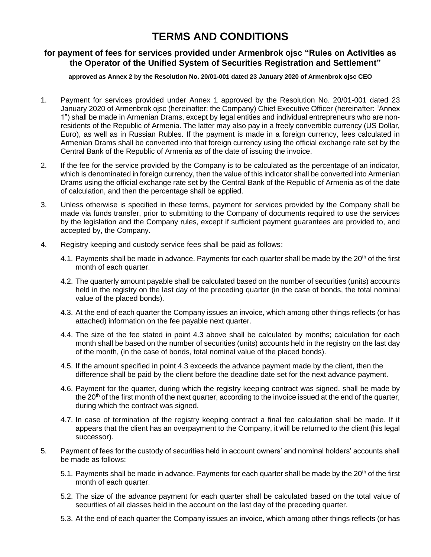# **TERMS AND CONDITIONS**

# **for payment of fees for services provided under Armenbrok ojsc "Rules on Activities as the Operator of the Unified System of Securities Registration and Settlement"**

#### **approved as Annex 2 by the Resolution No. 20/01-001 dated 23 January 2020 of Armenbrok ojsc CEO**

- 1. Payment for services provided under Annex 1 approved by the Resolution No. 20/01-001 dated 23 January 2020 of Armenbrok ojsc (hereinafter: the Company) Chief Executive Officer (hereinafter: "Annex 1") shall be made in Armenian Drams, except by legal entities and individual entrepreneurs who are nonresidents of the Republic of Armenia. The latter may also pay in a freely convertible currency (US Dollar, Euro), as well as in Russian Rubles. If the payment is made in a foreign currency, fees calculated in Armenian Drams shall be converted into that foreign currency using the official exchange rate set by the Central Bank of the Republic of Armenia as of the date of issuing the invoice.
- 2. If the fee for the service provided by the Company is to be calculated as the percentage of an indicator, which is denominated in foreign currency, then the value of this indicator shall be converted into Armenian Drams using the official exchange rate set by the Central Bank of the Republic of Armenia as of the date of calculation, and then the percentage shall be applied.
- 3. Unless otherwise is specified in these terms, payment for services provided by the Company shall be made via funds transfer, prior to submitting to the Company of documents required to use the services by the legislation and the Company rules, except if sufficient payment guarantees are provided to, and accepted by, the Company.
- 4. Registry keeping and custody service fees shall be paid as follows:
	- 4.1. Payments shall be made in advance. Payments for each quarter shall be made by the  $20<sup>th</sup>$  of the first month of each quarter.
	- 4.2. The quarterly amount payable shall be calculated based on the number of securities (units) accounts held in the registry on the last day of the preceding quarter (in the case of bonds, the total nominal value of the placed bonds).
	- 4.3. At the end of each quarter the Company issues an invoice, which among other things reflects (or has attached) information on the fee payable next quarter.
	- 4.4. The size of the fee stated in point 4.3 above shall be calculated by months; calculation for each month shall be based on the number of securities (units) accounts held in the registry on the last day of the month, (in the case of bonds, total nominal value of the placed bonds).
	- 4.5. If the amount specified in point 4.3 exceeds the advance payment made by the client, then the difference shall be paid by the client before the deadline date set for the next advance payment.
	- 4.6. Payment for the quarter, during which the registry keeping contract was signed, shall be made by the 20<sup>th</sup> of the first month of the next quarter, according to the invoice issued at the end of the quarter, during which the contract was signed.
	- 4.7. In case of termination of the registry keeping contract a final fee calculation shall be made. If it appears that the client has an overpayment to the Company, it will be returned to the client (his legal successor).
- 5. Payment of fees for the custody of securities held in account owners' and nominal holders' accounts shall be made as follows:
	- 5.1. Payments shall be made in advance. Payments for each quarter shall be made by the  $20<sup>th</sup>$  of the first month of each quarter.
	- 5.2. The size of the advance payment for each quarter shall be calculated based on the total value of securities of all classes held in the account on the last day of the preceding quarter.
	- 5.3. At the end of each quarter the Company issues an invoice, which among other things reflects (or has